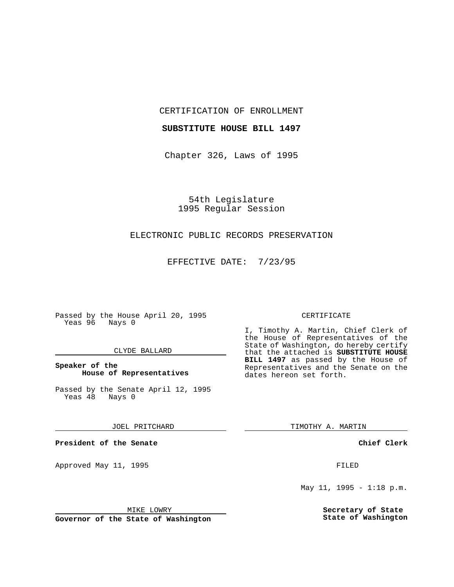CERTIFICATION OF ENROLLMENT

## **SUBSTITUTE HOUSE BILL 1497**

Chapter 326, Laws of 1995

54th Legislature 1995 Regular Session

## ELECTRONIC PUBLIC RECORDS PRESERVATION

EFFECTIVE DATE: 7/23/95

Passed by the House April 20, 1995 Yeas 96 Nays 0

## CLYDE BALLARD

## **Speaker of the House of Representatives**

Passed by the Senate April 12, 1995<br>Yeas 48 Nays 0 Yeas 48

JOEL PRITCHARD

**President of the Senate**

Approved May 11, 1995 FILED

MIKE LOWRY

**Governor of the State of Washington**

#### CERTIFICATE

I, Timothy A. Martin, Chief Clerk of the House of Representatives of the State of Washington, do hereby certify that the attached is **SUBSTITUTE HOUSE BILL 1497** as passed by the House of Representatives and the Senate on the dates hereon set forth.

TIMOTHY A. MARTIN

**Chief Clerk**

May 11, 1995 - 1:18 p.m.

**Secretary of State State of Washington**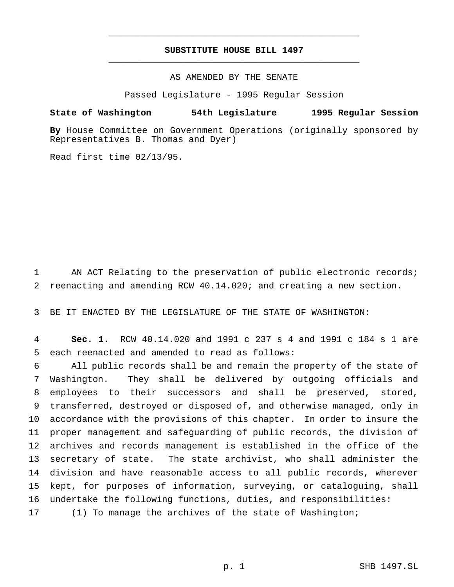# **SUBSTITUTE HOUSE BILL 1497** \_\_\_\_\_\_\_\_\_\_\_\_\_\_\_\_\_\_\_\_\_\_\_\_\_\_\_\_\_\_\_\_\_\_\_\_\_\_\_\_\_\_\_\_\_\_\_

\_\_\_\_\_\_\_\_\_\_\_\_\_\_\_\_\_\_\_\_\_\_\_\_\_\_\_\_\_\_\_\_\_\_\_\_\_\_\_\_\_\_\_\_\_\_\_

# AS AMENDED BY THE SENATE

Passed Legislature - 1995 Regular Session

### **State of Washington 54th Legislature 1995 Regular Session**

**By** House Committee on Government Operations (originally sponsored by Representatives B. Thomas and Dyer)

Read first time 02/13/95.

1 AN ACT Relating to the preservation of public electronic records; 2 reenacting and amending RCW 40.14.020; and creating a new section.

3 BE IT ENACTED BY THE LEGISLATURE OF THE STATE OF WASHINGTON:

4 **Sec. 1.** RCW 40.14.020 and 1991 c 237 s 4 and 1991 c 184 s 1 are 5 each reenacted and amended to read as follows:

 All public records shall be and remain the property of the state of Washington. They shall be delivered by outgoing officials and employees to their successors and shall be preserved, stored, transferred, destroyed or disposed of, and otherwise managed, only in accordance with the provisions of this chapter. In order to insure the proper management and safeguarding of public records, the division of archives and records management is established in the office of the secretary of state. The state archivist, who shall administer the division and have reasonable access to all public records, wherever kept, for purposes of information, surveying, or cataloguing, shall undertake the following functions, duties, and responsibilities: 17 (1) To manage the archives of the state of Washington;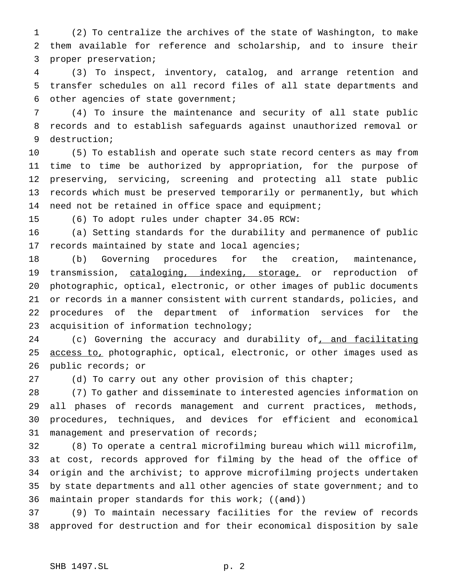(2) To centralize the archives of the state of Washington, to make them available for reference and scholarship, and to insure their proper preservation;

 (3) To inspect, inventory, catalog, and arrange retention and transfer schedules on all record files of all state departments and other agencies of state government;

 (4) To insure the maintenance and security of all state public records and to establish safeguards against unauthorized removal or destruction;

 (5) To establish and operate such state record centers as may from time to time be authorized by appropriation, for the purpose of preserving, servicing, screening and protecting all state public records which must be preserved temporarily or permanently, but which 14 need not be retained in office space and equipment;

(6) To adopt rules under chapter 34.05 RCW:

 (a) Setting standards for the durability and permanence of public 17 records maintained by state and local agencies;

 (b) Governing procedures for the creation, maintenance, 19 transmission, cataloging, indexing, storage, or reproduction of photographic, optical, electronic, or other images of public documents or records in a manner consistent with current standards, policies, and procedures of the department of information services for the acquisition of information technology;

24 (c) Governing the accuracy and durability of, and facilitating 25 access to, photographic, optical, electronic, or other images used as public records; or

27 (d) To carry out any other provision of this chapter;

 (7) To gather and disseminate to interested agencies information on all phases of records management and current practices, methods, procedures, techniques, and devices for efficient and economical management and preservation of records;

 (8) To operate a central microfilming bureau which will microfilm, at cost, records approved for filming by the head of the office of origin and the archivist; to approve microfilming projects undertaken by state departments and all other agencies of state government; and to 36 maintain proper standards for this work; ((and))

 (9) To maintain necessary facilities for the review of records approved for destruction and for their economical disposition by sale